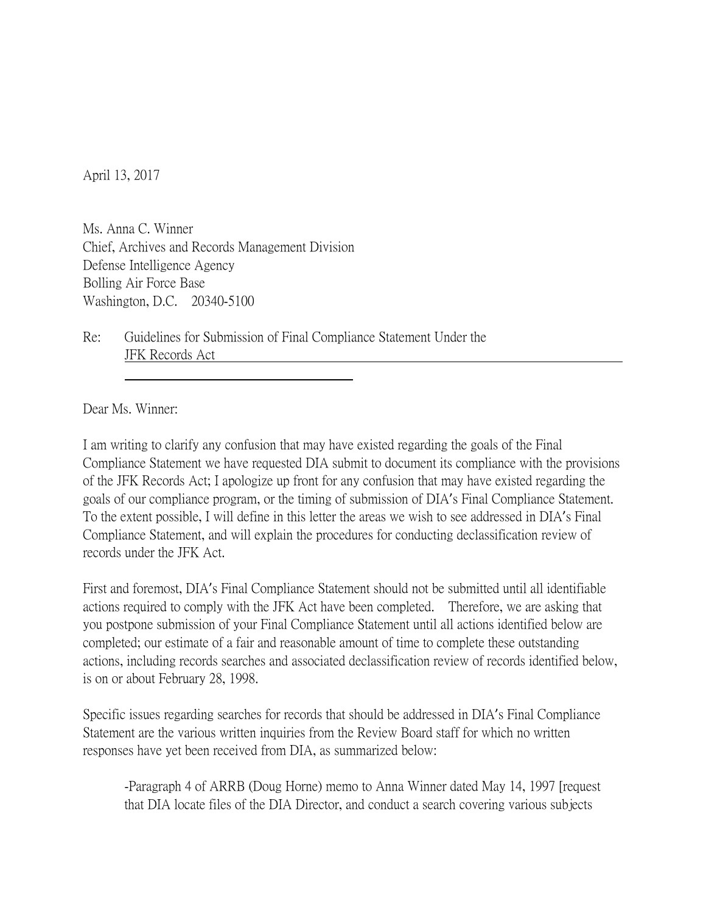April 13, 2017

Ms. Anna C. Winner Chief, Archives and Records Management Division Defense Intelligence Agency Bolling Air Force Base Washington, D.C. 20340-5100

Re: Guidelines for Submission of Final Compliance Statement Under the JFK Records Act

Dear Ms. Winner:

I am writing to clarify any confusion that may have existed regarding the goals of the Final Compliance Statement we have requested DIA submit to document its compliance with the provisions of the JFK Records Act; I apologize up front for any confusion that may have existed regarding the goals of our compliance program, or the timing of submission of DIA's Final Compliance Statement. To the extent possible, I will define in this letter the areas we wish to see addressed in DIA's Final Compliance Statement, and will explain the procedures for conducting declassification review of records under the JFK Act.

First and foremost, DIA's Final Compliance Statement should not be submitted until all identifiable actions required to comply with the JFK Act have been completed. Therefore, we are asking that you postpone submission of your Final Compliance Statement until all actions identified below are completed; our estimate of a fair and reasonable amount of time to complete these outstanding actions, including records searches and associated declassification review of records identified below, is on or about February 28, 1998.

Specific issues regarding searches for records that should be addressed in DIA's Final Compliance Statement are the various written inquiries from the Review Board staff for which no written responses have yet been received from DIA, as summarized below:

-Paragraph 4 of ARRB (Doug Horne) memo to Anna Winner dated May 14, 1997 [request that DIA locate files of the DIA Director, and conduct a search covering various subjects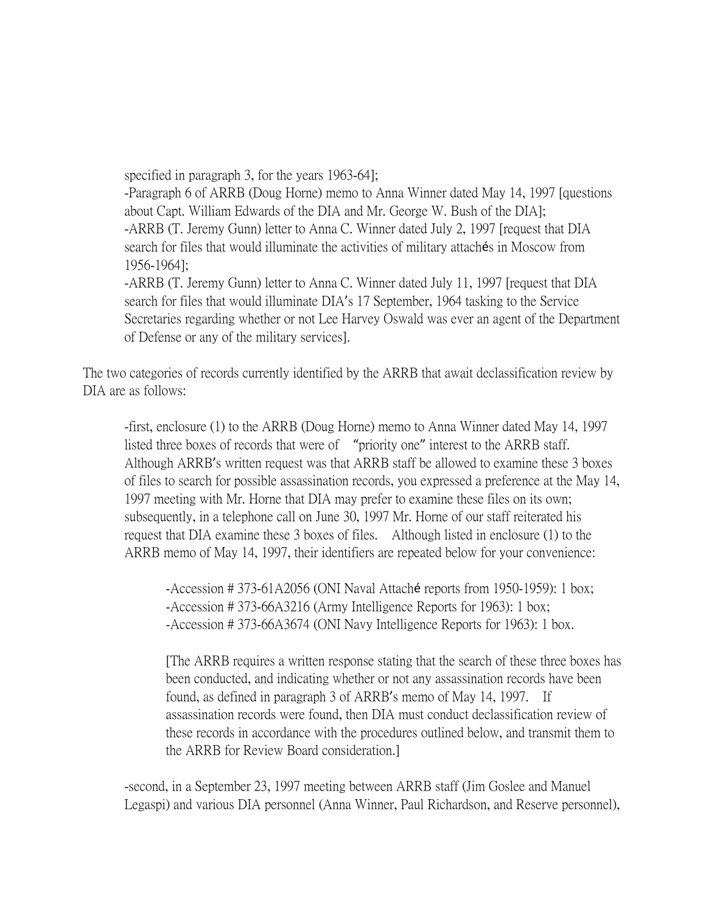specified in paragraph 3, for the years 1963-64];

-Paragraph 6 of ARRB (Doug Horne) memo to Anna Winner dated May 14, 1997 [questions about Capt. William Edwards of the DIA and Mr. George W. Bush of the DIA]; -ARRB (T. Jeremy Gunn) letter to Anna C. Winner dated July 2, 1997 [request that DIA search for files that would illuminate the activities of military attachés in Moscow from 1956-1964];

-ARRB (T. Jeremy Gunn) letter to Anna C. Winner dated July 11, 1997 [request that DIA search for files that would illuminate DIA's 17 September, 1964 tasking to the Service Secretaries regarding whether or not Lee Harvey Oswald was ever an agent of the Department of Defense or any of the military services].

The two categories of records currently identified by the ARRB that await declassification review by DIA are as follows:

-first, enclosure (1) to the ARRB (Doug Horne) memo to Anna Winner dated May 14, 1997 listed three boxes of records that were of "priority one" interest to the ARRB staff. Although ARRB's written request was that ARRB staff be allowed to examine these 3 boxes of files to search for possible assassination records, you expressed a preference at the May 14, 1997 meeting with Mr. Horne that DIA may prefer to examine these files on its own; subsequently, in a telephone call on June 30, 1997 Mr. Horne of our staff reiterated his request that DIA examine these 3 boxes of files. Although listed in enclosure (1) to the ARRB memo of May 14, 1997, their identifiers are repeated below for your convenience:

-Accession # 373-61A2056 (ONI Naval Attaché reports from 1950-1959): 1 box; -Accession # 373-66A3216 (Army Intelligence Reports for 1963): 1 box; -Accession # 373-66A3674 (ONI Navy Intelligence Reports for 1963): 1 box.

[The ARRB requires a written response stating that the search of these three boxes has been conducted, and indicating whether or not any assassination records have been found, as defined in paragraph 3 of ARRB's memo of May 14, 1997. If assassination records were found, then DIA must conduct declassification review of these records in accordance with the procedures outlined below, and transmit them to the ARRB for Review Board consideration.]

-second, in a September 23, 1997 meeting between ARRB staff (Jim Goslee and Manuel Legaspi) and various DIA personnel (Anna Winner, Paul Richardson, and Reserve personnel),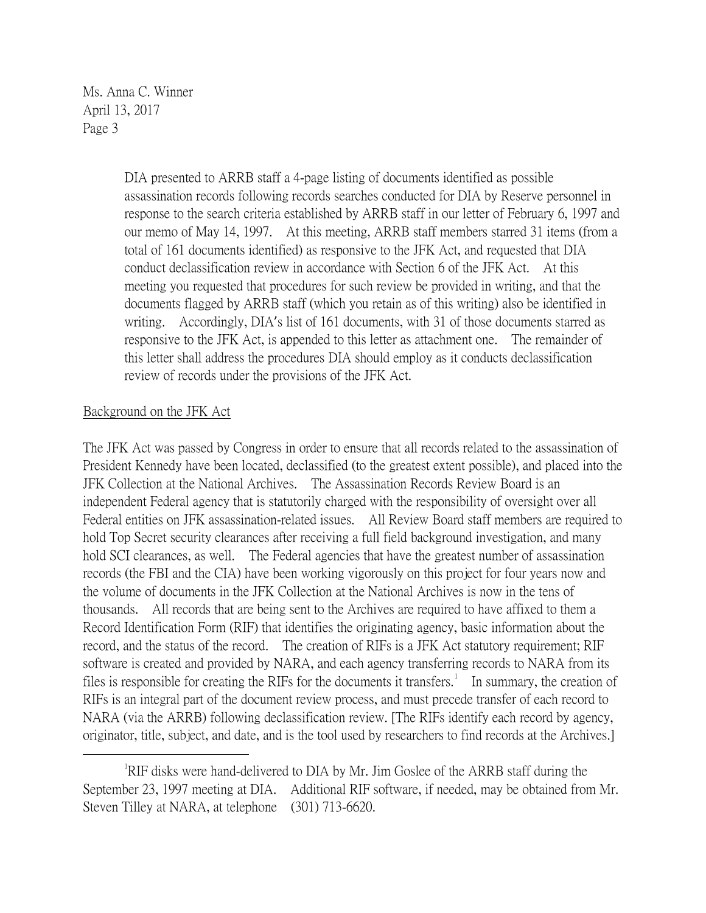> DIA presented to ARRB staff a 4-page listing of documents identified as possible assassination records following records searches conducted for DIA by Reserve personnel in response to the search criteria established by ARRB staff in our letter of February 6, 1997 and our memo of May 14, 1997. At this meeting, ARRB staff members starred 31 items (from a total of 161 documents identified) as responsive to the JFK Act, and requested that DIA conduct declassification review in accordance with Section 6 of the JFK Act. At this meeting you requested that procedures for such review be provided in writing, and that the documents flagged by ARRB staff (which you retain as of this writing) also be identified in writing. Accordingly, DIA's list of 161 documents, with 31 of those documents starred as responsive to the JFK Act, is appended to this letter as attachment one. The remainder of this letter shall address the procedures DIA should employ as it conducts declassification review of records under the provisions of the JFK Act.

## Background on the JFK Act

The JFK Act was passed by Congress in order to ensure that all records related to the assassination of President Kennedy have been located, declassified (to the greatest extent possible), and placed into the JFK Collection at the National Archives. The Assassination Records Review Board is an independent Federal agency that is statutorily charged with the responsibility of oversight over all Federal entities on JFK assassination-related issues. All Review Board staff members are required to hold Top Secret security clearances after receiving a full field background investigation, and many hold SCI clearances, as well. The Federal agencies that have the greatest number of assassination records (the FBI and the CIA) have been working vigorously on this project for four years now and the volume of documents in the JFK Collection at the National Archives is now in the tens of thousands. All records that are being sent to the Archives are required to have affixed to them a Record Identification Form (RIF) that identifies the originating agency, basic information about the record, and the status of the record. The creation of RIFs is a JFK Act statutory requirement; RIF software is created and provided by NARA, and each agency transferring records to NARA from its files is responsible for creating the RIFs for the documents it transfers.<sup>[1](#page-2-0)</sup> In summary, the creation of RIFs is an integral part of the document review process, and must precede transfer of each record to NARA (via the ARRB) following declassification review. [The RIFs identify each record by agency, originator, title, subject, and date, and is the tool used by researchers to find records at the Archives.]

<span id="page-2-0"></span> $\overline{\phantom{a}}$ RIF disks were hand-delivered to DIA by Mr. Jim Goslee of the ARRB staff during the September 23, 1997 meeting at DIA. Additional RIF software, if needed, may be obtained from Mr. Steven Tilley at NARA, at telephone (301) 713-6620.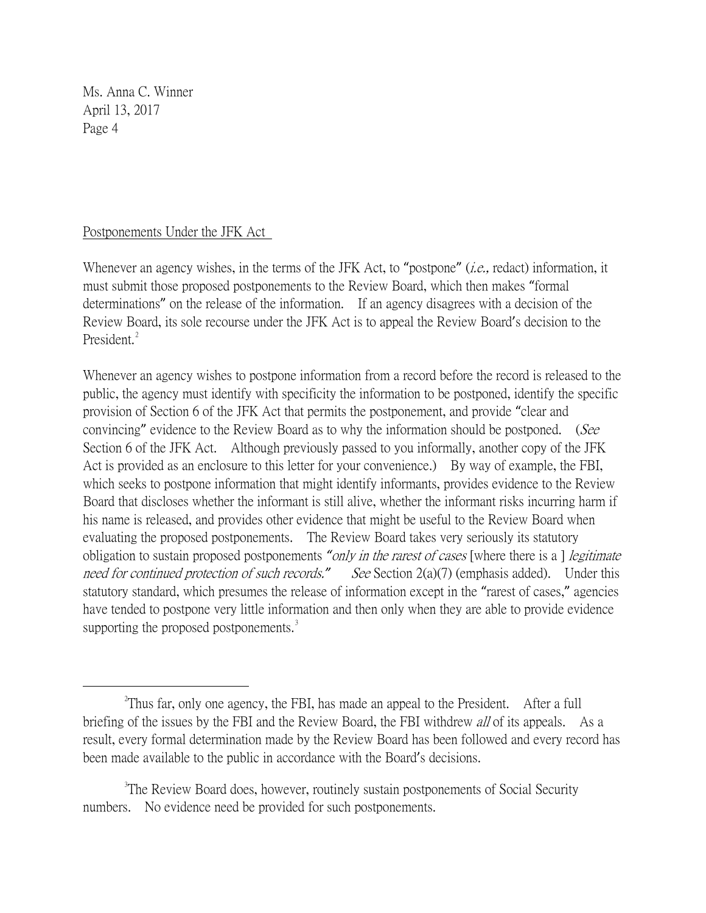## Postponements Under the JFK Act

Whenever an agency wishes, in the terms of the JFK Act, to "postpone" *(i.e.*, redact) information, it must submit those proposed postponements to the Review Board, which then makes "formal determinations" on the release of the information. If an agency disagrees with a decision of the Review Board, its sole recourse under the JFK Act is to appeal the Review Board's decision to the President.<sup>[2](#page-3-0)</sup>

Whenever an agency wishes to postpone information from a record before the record is released to the public, the agency must identify with specificity the information to be postponed, identify the specific provision of Section 6 of the JFK Act that permits the postponement, and provide "clear and convincing" evidence to the Review Board as to why the information should be postponed. (See Section 6 of the JFK Act. Although previously passed to you informally, another copy of the JFK Act is provided as an enclosure to this letter for your convenience.) By way of example, the FBI, which seeks to postpone information that might identify informants, provides evidence to the Review Board that discloses whether the informant is still alive, whether the informant risks incurring harm if his name is released, and provides other evidence that might be useful to the Review Board when evaluating the proposed postponements. The Review Board takes very seriously its statutory obligation to sustain proposed postponements *"*only in the rarest of cases [where there is a ] legitimate need for continued protection of such records." See Section 2(a)(7) (emphasis added). Under this statutory standard, which presumes the release of information except in the "rarest of cases," agencies have tended to postpone very little information and then only when they are able to provide evidence supporting the proposed postponements.<sup>[3](#page-3-1)</sup>

<span id="page-3-0"></span> $\overline{\phantom{a}}$  2  $\textsuperscript{2}$ Thus far, only one agency, the FBI, has made an appeal to the President. After a full briefing of the issues by the FBI and the Review Board, the FBI withdrew *all* of its appeals. As a result, every formal determination made by the Review Board has been followed and every record has been made available to the public in accordance with the Board's decisions.

<span id="page-3-1"></span><sup>&</sup>lt;sup>3</sup>The Review Board does, however, routinely sustain postponements of Social Security numbers. No evidence need be provided for such postponements.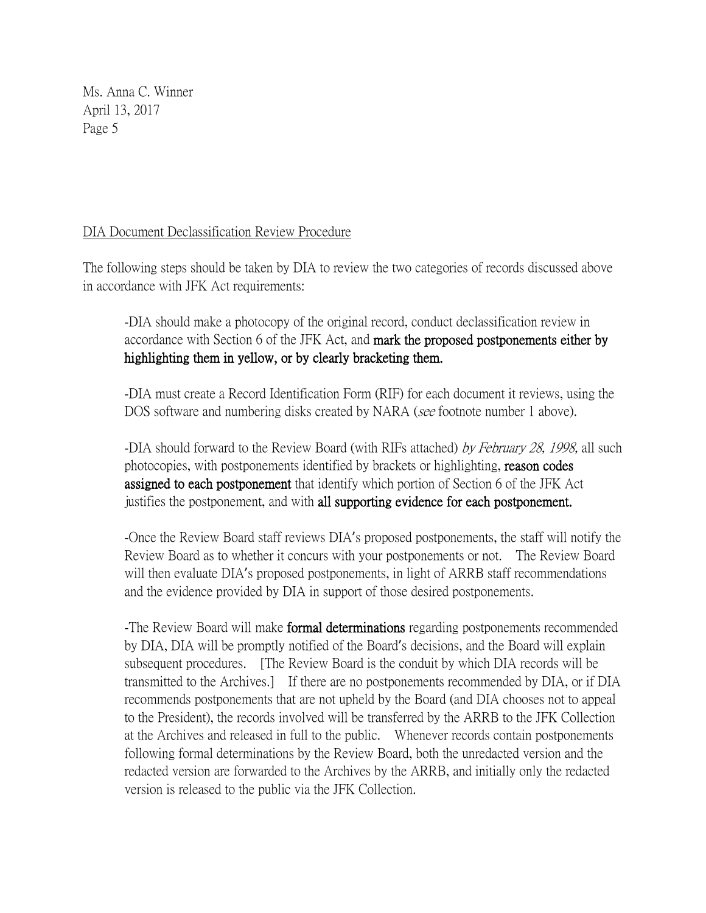## DIA Document Declassification Review Procedure

The following steps should be taken by DIA to review the two categories of records discussed above in accordance with JFK Act requirements:

-DIA should make a photocopy of the original record, conduct declassification review in accordance with Section 6 of the JFK Act, and mark the proposed postponements either by highlighting them in yellow, or by clearly bracketing them.

-DIA must create a Record Identification Form (RIF) for each document it reviews, using the DOS software and numbering disks created by NARA (see footnote number 1 above).

-DIA should forward to the Review Board (with RIFs attached) by February 28, 1998, all such photocopies, with postponements identified by brackets or highlighting, reason codes assigned to each postponement that identify which portion of Section 6 of the JFK Act justifies the postponement, and with all supporting evidence for each postponement.

-Once the Review Board staff reviews DIA's proposed postponements, the staff will notify the Review Board as to whether it concurs with your postponements or not. The Review Board will then evaluate DIA's proposed postponements, in light of ARRB staff recommendations and the evidence provided by DIA in support of those desired postponements.

-The Review Board will make **formal determinations** regarding postponements recommended by DIA, DIA will be promptly notified of the Board's decisions, and the Board will explain subsequent procedures. [The Review Board is the conduit by which DIA records will be transmitted to the Archives.] If there are no postponements recommended by DIA, or if DIA recommends postponements that are not upheld by the Board (and DIA chooses not to appeal to the President), the records involved will be transferred by the ARRB to the JFK Collection at the Archives and released in full to the public. Whenever records contain postponements following formal determinations by the Review Board, both the unredacted version and the redacted version are forwarded to the Archives by the ARRB, and initially only the redacted version is released to the public via the JFK Collection.